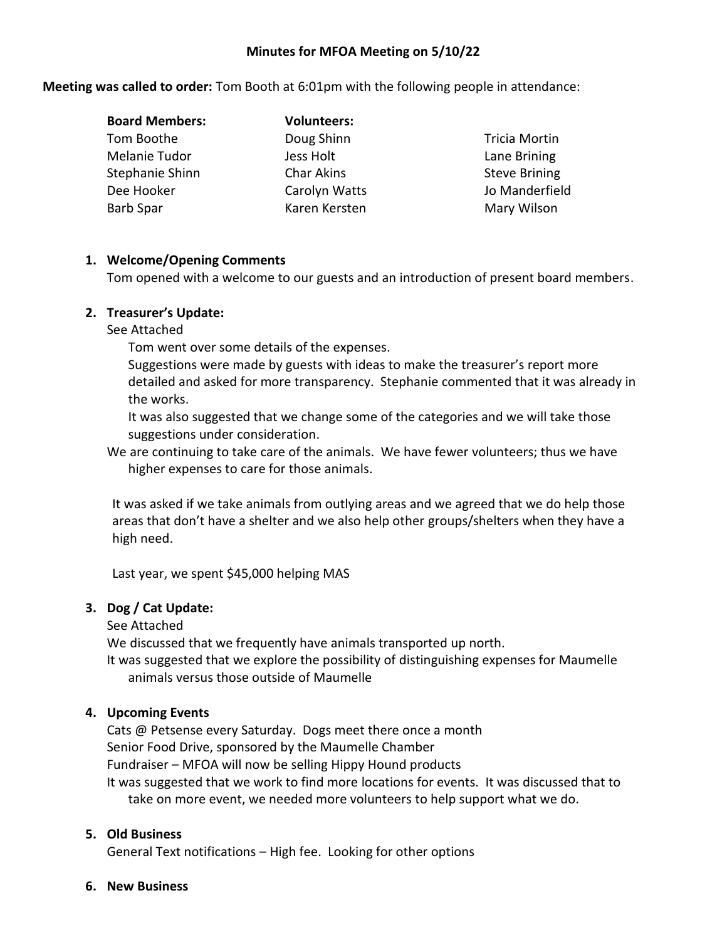#### **Minutes for MFOA Meeting on 5/10/22**

**Meeting was called to order:** Tom Booth at 6:01pm with the following people in attendance:

| <b>Board Members:</b> | <b>Volunteers:</b> |
|-----------------------|--------------------|
| Tom Boothe            | Doug Shinn         |
| Melanie Tudor         | Jess Holt          |
| Stephanie Shinn       | <b>Char Akins</b>  |
| Dee Hooker            | Carolyn Watts      |
| <b>Barb Spar</b>      | Karen Kersten      |

Tricia Mortin Lane Brining Steve Brining Jo Manderfield Mary Wilson

### **1. Welcome/Opening Comments**

Tom opened with a welcome to our guests and an introduction of present board members.

## **2. Treasurer's Update:**

See Attached

Tom went over some details of the expenses.

Suggestions were made by guests with ideas to make the treasurer's report more detailed and asked for more transparency. Stephanie commented that it was already in the works.

It was also suggested that we change some of the categories and we will take those suggestions under consideration.

We are continuing to take care of the animals. We have fewer volunteers; thus we have higher expenses to care for those animals.

It was asked if we take animals from outlying areas and we agreed that we do help those areas that don't have a shelter and we also help other groups/shelters when they have a high need.

Last year, we spent \$45,000 helping MAS

# **3. Dog / Cat Update:**

### See Attached

We discussed that we frequently have animals transported up north.

It was suggested that we explore the possibility of distinguishing expenses for Maumelle animals versus those outside of Maumelle

# **4. Upcoming Events**

Cats @ Petsense every Saturday. Dogs meet there once a month Senior Food Drive, sponsored by the Maumelle Chamber Fundraiser – MFOA will now be selling Hippy Hound products It was suggested that we work to find more locations for events. It was discussed that to take on more event, we needed more volunteers to help support what we do.

### **5. Old Business**

General Text notifications – High fee. Looking for other options

#### **6. New Business**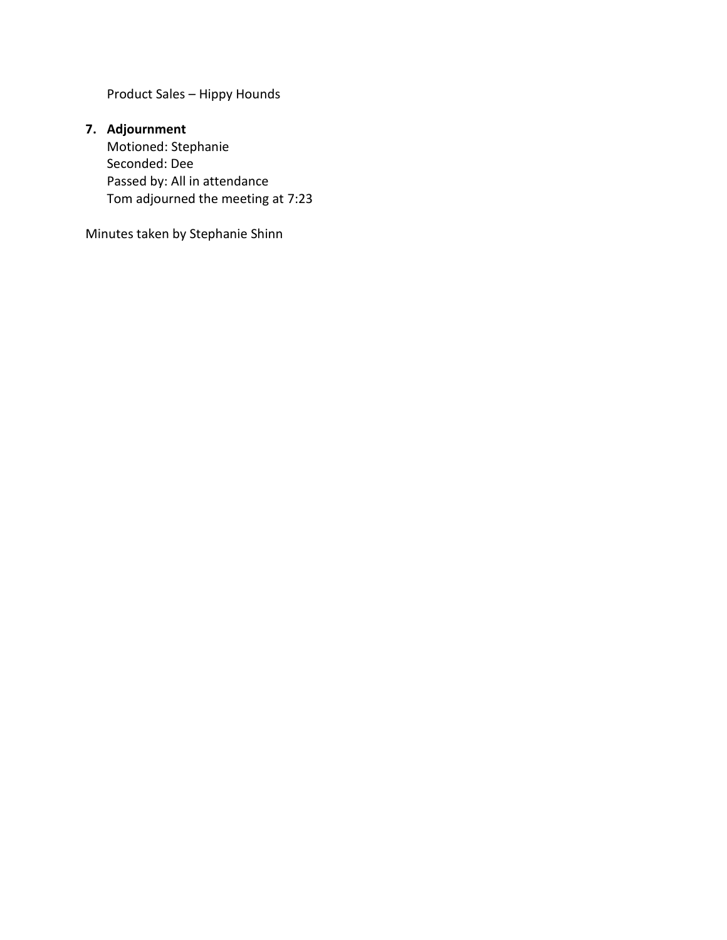Product Sales – Hippy Hounds

# **7. Adjournment**

Motioned: Stephanie Seconded: Dee Passed by: All in attendance Tom adjourned the meeting at 7:23

Minutes taken by Stephanie Shinn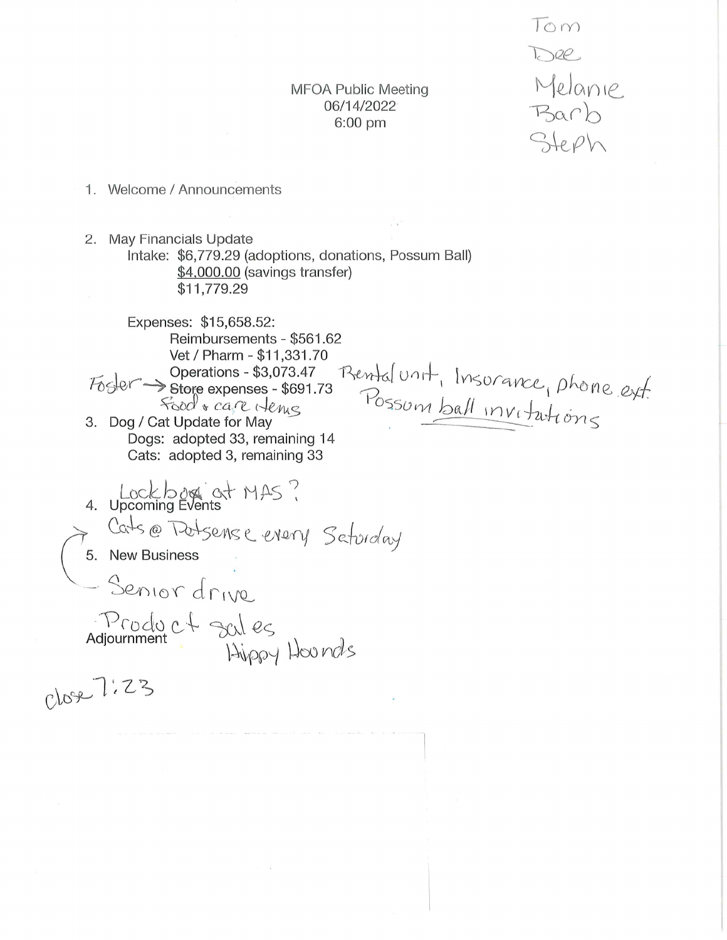**MFOA Public Meeting** 06/14/2022  $6:00$  pm

Tom Dee Melanie Barb Steph

- 1. Welcome / Announcements
- 2. May Financials Update Intake: \$6,779.29 (adoptions, donations, Possum Ball) \$4,000.00 (savings transfer) \$11,779.29

Expenses: \$15,658.52: Reimbursements - \$561.62 Vet / Pharm - \$11,331.70 Rental unit, Insurance, phone ext. Operations - \$3,073.47  $F_{\text{O}}$ store expenses - \$691.73 food + care Hence 3. Dog / Cat Update for May Dogs: adopted 33, remaining 14 Cats: adopted 3, remaining 33

Lockbog at MAS? Cats @ Datsense enery Seturday 5. New Business - Senior drive. Product sules<br>Adjournment Hippy Hounds

Close 7:23